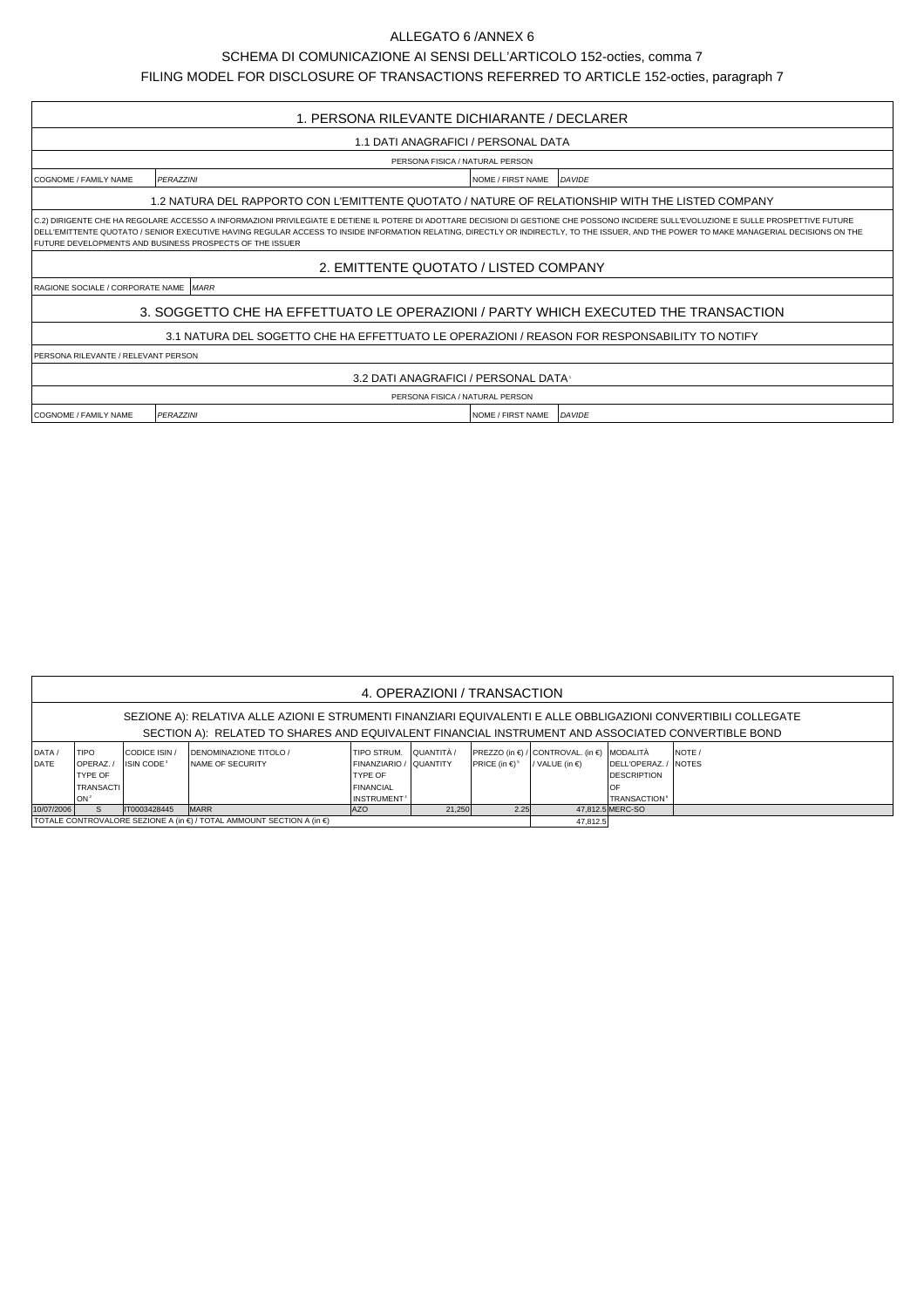## ALLEGATO 6 /ANNEX 6

SCHEMA DI COMUNICAZIONE AI SENSI DELL'ARTICOLO 152-octies, comma 7

FILING MODEL FOR DISCLOSURE OF TRANSACTIONS REFERRED TO ARTICLE 152-octies, paragraph 7

| 1. PERSONA RILEVANTE DICHIARANTE / DECLARER                                                                                                                                                                                                                                                                                                                                                                                                      |                                                        |                          |        |  |  |  |  |  |  |  |
|--------------------------------------------------------------------------------------------------------------------------------------------------------------------------------------------------------------------------------------------------------------------------------------------------------------------------------------------------------------------------------------------------------------------------------------------------|--------------------------------------------------------|--------------------------|--------|--|--|--|--|--|--|--|
| 1.1 DATI ANAGRAFICI / PERSONAL DATA                                                                                                                                                                                                                                                                                                                                                                                                              |                                                        |                          |        |  |  |  |  |  |  |  |
| PERSONA FISICA / NATURAL PERSON                                                                                                                                                                                                                                                                                                                                                                                                                  |                                                        |                          |        |  |  |  |  |  |  |  |
| COGNOME / FAMILY NAME                                                                                                                                                                                                                                                                                                                                                                                                                            | <b>PFRAZZINI</b><br>DAVIDE<br><b>NOME / FIRST NAME</b> |                          |        |  |  |  |  |  |  |  |
| 1.2 NATURA DEL RAPPORTO CON L'EMITTENTE QUOTATO / NATURE OF RELATIONSHIP WITH THE LISTED COMPANY                                                                                                                                                                                                                                                                                                                                                 |                                                        |                          |        |  |  |  |  |  |  |  |
| C.2) DIRIGENTE CHE HA REGOLARE ACCESSO A INFORMAZIONI PRIVILEGIATE E DETIENE IL POTERE DI ADOTTARE DECISIONI DI GESTIONE CHE POSSONO INCIDERE SULL'EVOLUZIONE E SULLE PROSPETTIVE FUTURE<br>DELL'EMITTENTE QUOTATO / SENIOR EXECUTIVE HAVING REGULAR ACCESS TO INSIDE INFORMATION RELATING, DIRECTLY OR INDIRECTLY, TO THE ISSUER, AND THE POWER TO MAKE MANAGERIAL DECISIONS ON THE<br>FUTURE DEVELOPMENTS AND BUSINESS PROSPECTS OF THE ISSUER |                                                        |                          |        |  |  |  |  |  |  |  |
| 2. EMITTENTE QUOTATO / LISTED COMPANY                                                                                                                                                                                                                                                                                                                                                                                                            |                                                        |                          |        |  |  |  |  |  |  |  |
| RAGIONE SOCIALE / CORPORATE NAME <i>MARR</i>                                                                                                                                                                                                                                                                                                                                                                                                     |                                                        |                          |        |  |  |  |  |  |  |  |
| 3. SOGGETTO CHE HA EFFETTUATO LE OPERAZIONI / PARTY WHICH EXECUTED THE TRANSACTION                                                                                                                                                                                                                                                                                                                                                               |                                                        |                          |        |  |  |  |  |  |  |  |
| 3.1 NATURA DEL SOGETTO CHE HA EFFETTUATO LE OPERAZIONI / REASON FOR RESPONSABILITY TO NOTIFY                                                                                                                                                                                                                                                                                                                                                     |                                                        |                          |        |  |  |  |  |  |  |  |
| PERSONA RILEVANTE / RELEVANT PERSON                                                                                                                                                                                                                                                                                                                                                                                                              |                                                        |                          |        |  |  |  |  |  |  |  |
|                                                                                                                                                                                                                                                                                                                                                                                                                                                  | 3.2 DATI ANAGRAFICI / PERSONAL DATA                    |                          |        |  |  |  |  |  |  |  |
| PERSONA FISICA / NATURAL PERSON                                                                                                                                                                                                                                                                                                                                                                                                                  |                                                        |                          |        |  |  |  |  |  |  |  |
| <b>I COGNOME / FAMILY NAME</b>                                                                                                                                                                                                                                                                                                                                                                                                                   | PERAZZINI                                              | <b>NOME / FIRST NAME</b> | DAVIDE |  |  |  |  |  |  |  |

| 4. OPERAZIONI / TRANSACTION                                                                                                                                                                                         |                                                                              |                                       |                                                            |                                                                                                 |            |                                       |                                                                               |                                                                                      |             |  |  |
|---------------------------------------------------------------------------------------------------------------------------------------------------------------------------------------------------------------------|------------------------------------------------------------------------------|---------------------------------------|------------------------------------------------------------|-------------------------------------------------------------------------------------------------|------------|---------------------------------------|-------------------------------------------------------------------------------|--------------------------------------------------------------------------------------|-------------|--|--|
| SEZIONE A): RELATIVA ALLE AZIONI E STRUMENTI FINANZIARI EQUIVALENTI E ALLE OBBLIGAZIONI CONVERTIBILI COLLEGATE<br>SECTION A): RELATED TO SHARES AND EQUIVALENT FINANCIAL INSTRUMENT AND ASSOCIATED CONVERTIBLE BOND |                                                                              |                                       |                                                            |                                                                                                 |            |                                       |                                                                               |                                                                                      |             |  |  |
| DATA/<br>DATE                                                                                                                                                                                                       | <b>TIPO</b><br><b>IOPERAZ.</b><br><b>TYPE OF</b><br><b>TRANSACTI</b><br>lon: | CODICE ISIN<br>ISIN CODE <sup>3</sup> | <b>IDENOMINAZIONE TITOLO /</b><br><b>INAME OF SECURITY</b> | TIPO STRUM.<br>FINANZIARIO / QUANTITY<br><b>TYPE OF</b><br>FINANCIAL<br>INSTRUMENT <sup>4</sup> | QUANTITÀ / | <b>PRICE</b> (in $\in$ ) <sup>5</sup> | $PREZZO$ (in $\in$ ) / CONTROVAL. (in $\in$ ) MODALITÀ<br>/ VALUE (in $\in$ ) | DELL'OPERAZ. / NOTES<br><b>DESCRIPTION</b><br>.OF<br><b>TRANSACTION</b> <sup>6</sup> | <b>NOTE</b> |  |  |
| 21,250<br>2.25<br><b>MARR</b><br>lazo<br>10/07/2006<br>S.<br>IT0003428445<br>TOTALE CONTROVALORE SEZIONE A (in €) / TOTAL AMMOUNT SECTION A (in €)                                                                  |                                                                              |                                       |                                                            |                                                                                                 |            |                                       |                                                                               | 47.812.5 MERC-SO                                                                     |             |  |  |